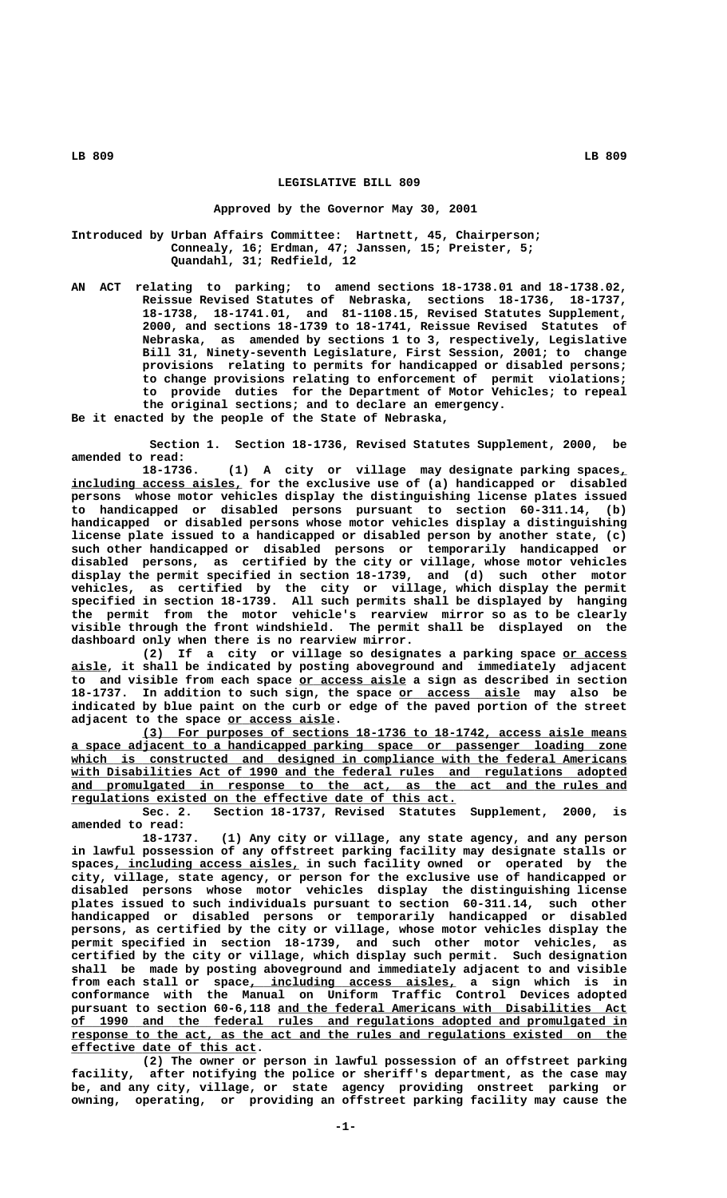## **LEGISLATIVE BILL 809**

### **Approved by the Governor May 30, 2001**

**Introduced by Urban Affairs Committee: Hartnett, 45, Chairperson; Connealy, 16; Erdman, 47; Janssen, 15; Preister, 5; Quandahl, 31; Redfield, 12**

**AN ACT relating to parking; to amend sections 18-1738.01 and 18-1738.02, Reissue Revised Statutes of Nebraska, sections 18-1736, 18-1737, 18-1738, 18-1741.01, and 81-1108.15, Revised Statutes Supplement, 2000, and sections 18-1739 to 18-1741, Reissue Revised Statutes of Nebraska, as amended by sections 1 to 3, respectively, Legislative Bill 31, Ninety-seventh Legislature, First Session, 2001; to change provisions relating to permits for handicapped or disabled persons; to change provisions relating to enforcement of permit violations; to provide duties for the Department of Motor Vehicles; to repeal the original sections; and to declare an emergency.**

**Be it enacted by the people of the State of Nebraska,**

**Section 1. Section 18-1736, Revised Statutes Supplement, 2000, be amended to read:**

**18-1736. (1) A city or village may designate parking spaces,\_** including access aisles, for the exclusive use of (a) handicapped or disabled **persons whose motor vehicles display the distinguishing license plates issued to handicapped or disabled persons pursuant to section 60-311.14, (b) handicapped or disabled persons whose motor vehicles display a distinguishing license plate issued to a handicapped or disabled person by another state, (c) such other handicapped or disabled persons or temporarily handicapped or disabled persons, as certified by the city or village, whose motor vehicles display the permit specified in section 18-1739, and (d) such other motor vehicles, as certified by the city or village, which display the permit specified in section 18-1739. All such permits shall be displayed by hanging the permit from the motor vehicle's rearview mirror so as to be clearly visible through the front windshield. The permit shall be displayed on the dashboard only when there is no rearview mirror.**

**(2) If a city or village so designates a parking space or access \_\_\_\_\_\_\_\_\_ \_\_\_\_\_ aisle, it shall be indicated by posting aboveground and immediately adjacent \_\_\_\_\_\_\_\_\_\_\_\_\_\_\_ to and visible from each space or access aisle a sign as described in section** 18-1737. In addition to such sign, the space or access aisle may also be **indicated by blue paint on the curb or edge of the paved portion of the street \_\_\_\_\_\_\_\_\_\_\_\_\_\_\_ adjacent to the space or access aisle.**

 **\_\_\_\_\_\_\_\_\_\_\_\_\_\_\_\_\_\_\_\_\_\_\_\_\_\_\_\_\_\_\_\_\_\_\_\_\_\_\_\_\_\_\_\_\_\_\_\_\_\_\_\_\_\_\_\_\_\_\_\_\_\_\_\_\_\_\_\_ (3) For purposes of sections 18-1736 to 18-1742, access aisle means \_\_\_\_\_\_\_\_\_\_\_\_\_\_\_\_\_\_\_\_\_\_\_\_\_\_\_\_\_\_\_\_\_\_\_\_\_\_\_\_\_\_\_\_\_\_\_\_\_\_\_\_\_\_\_\_\_\_\_\_\_\_\_\_\_\_\_\_\_\_\_\_\_\_\_\_\_\_ a space adjacent to a handicapped parking space or passenger loading zone** which is constructed and designed in compliance with the federal Americans  **\_\_\_\_\_\_\_\_\_\_\_\_\_\_\_\_\_\_\_\_\_\_\_\_\_\_\_\_\_\_\_\_\_\_\_\_\_\_\_\_\_\_\_\_\_\_\_\_\_\_\_\_\_\_\_\_\_\_\_\_\_\_\_\_\_\_\_\_\_\_\_\_\_\_\_\_\_\_ with Disabilities Act of 1990 and the federal rules and regulations adopted** and promulgated in response to the act, as the act and the rules and  **\_\_\_\_\_\_\_\_\_\_\_\_\_\_\_\_\_\_\_\_\_\_\_\_\_\_\_\_\_\_\_\_\_\_\_\_\_\_\_\_\_\_\_\_\_\_\_\_\_\_\_\_\_\_ regulations existed on the effective date of this act.**

> **Sec. 2. Section 18-1737, Revised Statutes Supplement, 2000, is amended to read:**

> **18-1737. (1) Any city or village, any state agency, and any person in lawful possession of any offstreet parking facility may designate stalls or**  $spaces_{\textit{I}}$  including access aisles, in such facility owned or operated by the **city, village, state agency, or person for the exclusive use of handicapped or disabled persons whose motor vehicles display the distinguishing license plates issued to such individuals pursuant to section 60-311.14, such other handicapped or disabled persons or temporarily handicapped or disabled persons, as certified by the city or village, whose motor vehicles display the permit specified in section 18-1739, and such other motor vehicles, as certified by the city or village, which display such permit. Such designation shall be made by posting aboveground and immediately adjacent to and visible** from each stall or space, including access aisles, a sign which is in **conformance with the Manual on Uniform Traffic Control Devices adopted** pursuant to section 60-6,118 and the federal Americans with Disabilities Act  **\_\_\_\_\_\_\_\_\_\_\_\_\_\_\_\_\_\_\_\_\_\_\_\_\_\_\_\_\_\_\_\_\_\_\_\_\_\_\_\_\_\_\_\_\_\_\_\_\_\_\_\_\_\_\_\_\_\_\_\_\_\_\_\_\_\_\_\_\_\_\_\_\_\_\_\_\_\_ of 1990 and the federal rules and regulations adopted and promulgated in \_\_\_\_\_\_\_\_\_\_\_\_\_\_\_\_\_\_\_\_\_\_\_\_\_\_\_\_\_\_\_\_\_\_\_\_\_\_\_\_\_\_\_\_\_\_\_\_\_\_\_\_\_\_\_\_\_\_\_\_\_\_\_\_\_\_\_\_\_\_\_\_\_\_\_\_\_\_ response to the act, as the act and the rules and regulations existed on the \_\_\_\_\_\_\_\_\_\_\_\_\_\_\_\_\_\_\_\_\_\_\_\_\_\_ effective date of this act.**

> **(2) The owner or person in lawful possession of an offstreet parking facility, after notifying the police or sheriff's department, as the case may be, and any city, village, or state agency providing onstreet parking or owning, operating, or providing an offstreet parking facility may cause the**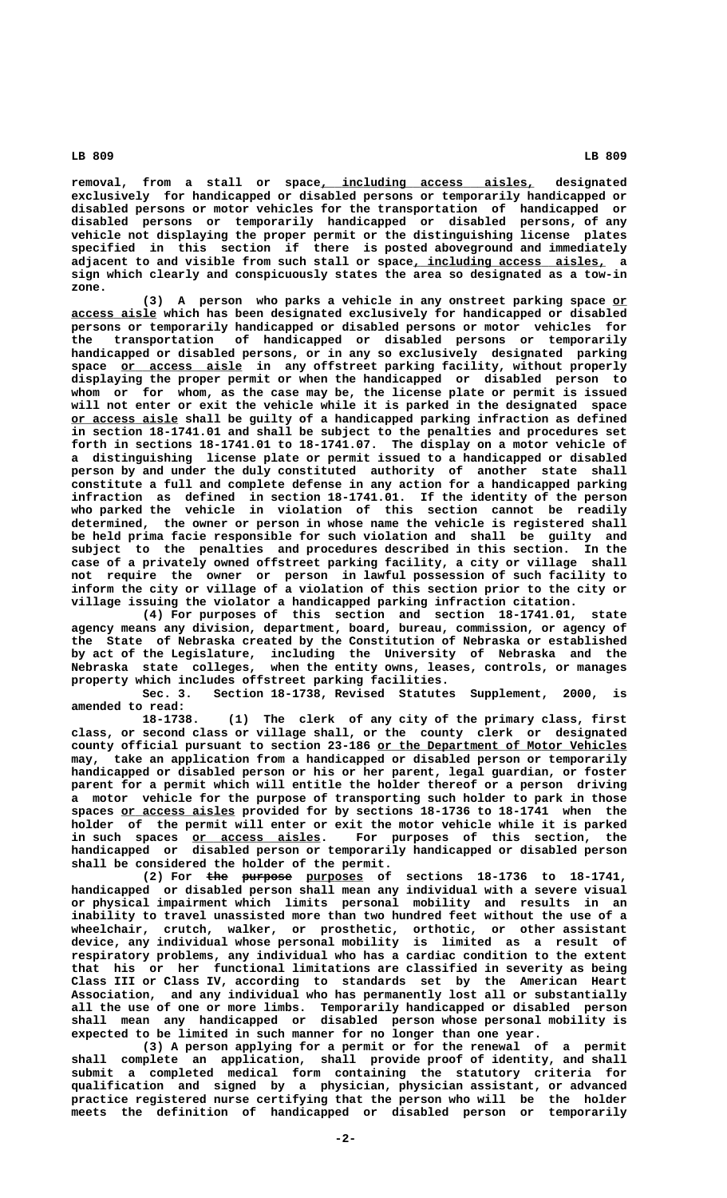**\_\_\_\_\_\_\_\_\_\_\_\_\_\_\_\_\_\_\_\_\_\_\_\_\_\_\_\_\_\_ removal, from a stall or space, including access aisles, designated exclusively for handicapped or disabled persons or temporarily handicapped or disabled persons or motor vehicles for the transportation of handicapped or disabled persons or temporarily handicapped or disabled persons, of any vehicle not displaying the proper permit or the distinguishing license plates specified in this section if there is posted aboveground and immediately adjacent to and visible from such stall or space, including access aisles, a \_\_\_\_\_\_\_\_\_\_\_\_\_\_\_\_\_\_\_\_\_\_\_\_\_\_\_**

 **zone.** (3) A person who parks a vehicle in any onstreet parking space or  **\_\_\_\_\_\_\_\_\_\_\_\_ access aisle which has been designated exclusively for handicapped or disabled persons or temporarily handicapped or disabled persons or motor vehicles for the transportation of handicapped or disabled persons or temporarily handicapped or disabled persons, or in any so exclusively designated parking \_\_\_\_\_\_\_\_\_\_\_\_\_\_\_\_\_ space or access aisle in any offstreet parking facility, without properly displaying the proper permit or when the handicapped or disabled person to whom or for whom, as the case may be, the license plate or permit is issued will not enter or exit the vehicle while it is parked in the designated space \_\_\_\_\_\_\_\_\_\_\_\_\_\_\_ or access aisle shall be guilty of a handicapped parking infraction as defined in section 18-1741.01 and shall be subject to the penalties and procedures set forth in sections 18-1741.01 to 18-1741.07. The display on a motor vehicle of a distinguishing license plate or permit issued to a handicapped or disabled person by and under the duly constituted authority of another state shall constitute a full and complete defense in any action for a handicapped parking infraction as defined in section 18-1741.01. If the identity of the person who parked the vehicle in violation of this section cannot be readily determined, the owner or person in whose name the vehicle is registered shall be held prima facie responsible for such violation and shall be guilty and subject to the penalties and procedures described in this section. In the case of a privately owned offstreet parking facility, a city or village shall not require the owner or person in lawful possession of such facility to inform the city or village of a violation of this section prior to the city or village issuing the violator a handicapped parking infraction citation.**

**sign which clearly and conspicuously states the area so designated as a tow-in**

**(4) For purposes of this section and section 18-1741.01, state agency means any division, department, board, bureau, commission, or agency of the State of Nebraska created by the Constitution of Nebraska or established by act of the Legislature, including the University of Nebraska and the Nebraska state colleges, when the entity owns, leases, controls, or manages property which includes offstreet parking facilities.**

**Sec. 3. Section 18-1738, Revised Statutes Supplement, 2000, is amended to read:**

**18-1738. (1) The clerk of any city of the primary class, first class, or second class or village shall, or the county clerk or designated \_\_\_\_\_\_\_\_\_\_\_\_\_\_\_\_\_\_\_\_\_\_\_\_\_\_\_\_\_\_\_\_\_\_\_ county official pursuant to section 23-186 or the Department of Motor Vehicles may, take an application from a handicapped or disabled person or temporarily handicapped or disabled person or his or her parent, legal guardian, or foster parent for a permit which will entitle the holder thereof or a person driving a motor vehicle for the purpose of transporting such holder to park in those** spaces <u>or access aisles</u> provided for by sections 18-1736 to 18-1741 when the **holder of the permit will enter or exit the motor vehicle while it is parked** in such spaces <u>or access aisles</u>. For purposes of this section, the **handicapped or disabled person or temporarily handicapped or disabled person shall be considered the holder of the permit.**

(2) For the purpose purposes of sections 18-1736 to 18-1741, **handicapped or disabled person shall mean any individual with a severe visual or physical impairment which limits personal mobility and results in an inability to travel unassisted more than two hundred feet without the use of a wheelchair, crutch, walker, or prosthetic, orthotic, or other assistant device, any individual whose personal mobility is limited as a result of respiratory problems, any individual who has a cardiac condition to the extent that his or her functional limitations are classified in severity as being Class III or Class IV, according to standards set by the American Heart Association, and any individual who has permanently lost all or substantially all the use of one or more limbs. Temporarily handicapped or disabled person shall mean any handicapped or disabled person whose personal mobility is expected to be limited in such manner for no longer than one year.**

**(3) A person applying for a permit or for the renewal of a permit shall complete an application, shall provide proof of identity, and shall submit a completed medical form containing the statutory criteria for qualification and signed by a physician, physician assistant, or advanced practice registered nurse certifying that the person who will be the holder meets the definition of handicapped or disabled person or temporarily**

 **LB 809 LB 809**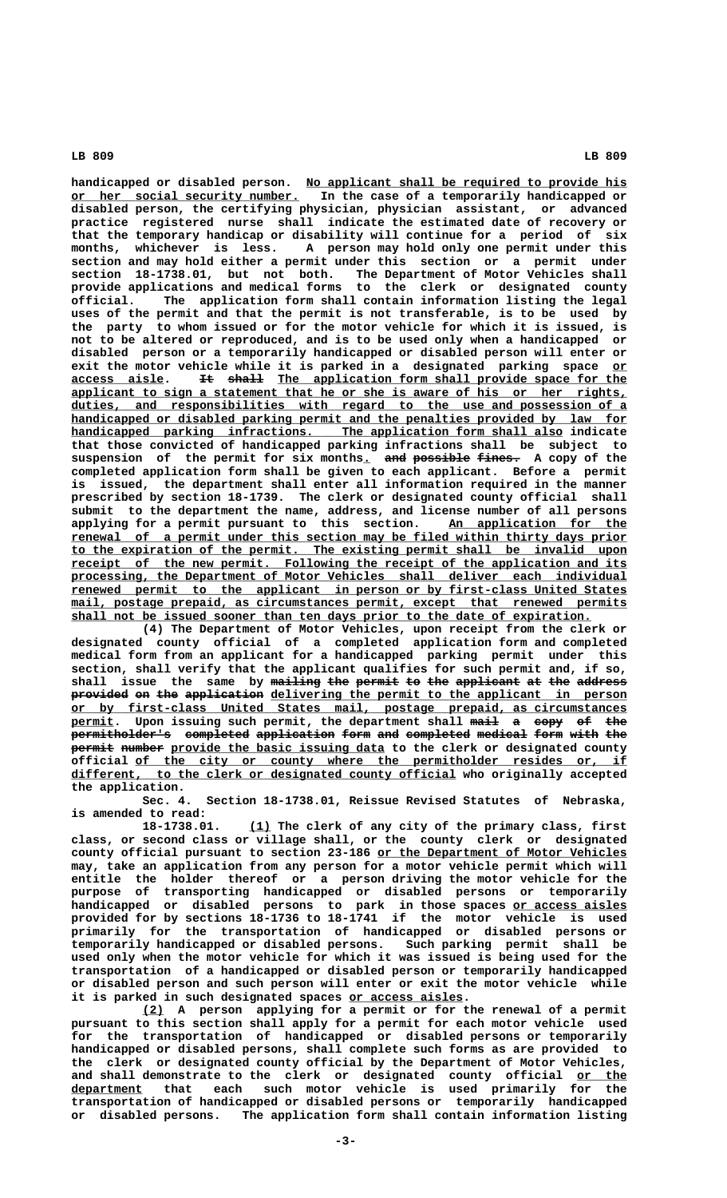handicapped or disabled person. No applicant shall be required to provide his  **\_\_\_\_\_\_\_\_\_\_\_\_\_\_\_\_\_\_\_\_\_\_\_\_\_\_\_\_\_\_\_\_ or her social security number. In the case of a temporarily handicapped or disabled person, the certifying physician, physician assistant, or advanced practice registered nurse shall indicate the estimated date of recovery or that the temporary handicap or disability will continue for a period of six months, whichever is less. A person may hold only one permit under this section and may hold either a permit under this section or a permit under section 18-1738.01, but not both. The Department of Motor Vehicles shall** provide applications and medical forms **official. The application form shall contain information listing the legal uses of the permit and that the permit is not transferable, is to be used by the party to whom issued or for the motor vehicle for which it is issued, is not to be altered or reproduced, and is to be used only when a handicapped or disabled person or a temporarily handicapped or disabled person will enter or** exit the motor vehicle while it is parked in a designated parking space or **access aisle. It shall The application form shall provide space for the \_\_\_\_\_\_\_\_\_\_\_\_\_ —— ————— \_\_\_\_\_\_\_\_\_\_\_\_\_\_\_\_\_\_\_\_\_\_\_\_\_\_\_\_\_\_\_\_\_\_\_\_\_\_\_\_\_\_\_\_\_\_\_\_\_ \_\_\_\_\_\_\_\_\_\_\_\_\_\_\_\_\_\_\_\_\_\_\_\_\_\_\_\_\_\_\_\_\_\_\_\_\_\_\_\_\_\_\_\_\_\_\_\_\_\_\_\_\_\_\_\_\_\_\_\_\_\_\_\_\_\_\_\_\_\_\_\_\_\_\_\_\_\_ applicant to sign a statement that he or she is aware of his or her rights, \_\_\_\_\_\_\_\_\_\_\_\_\_\_\_\_\_\_\_\_\_\_\_\_\_\_\_\_\_\_\_\_\_\_\_\_\_\_\_\_\_\_\_\_\_\_\_\_\_\_\_\_\_\_\_\_\_\_\_\_\_\_\_\_\_\_\_\_\_\_\_\_\_\_\_\_\_\_ duties, and responsibilities with regard to the use and possession of a** handicapped or disabled parking permit and the penalties provided by law for  **\_\_\_\_\_\_\_\_\_\_\_\_\_\_\_\_\_\_\_\_\_\_\_\_\_\_\_\_\_\_\_\_\_\_\_\_\_\_\_\_\_\_\_\_\_\_\_\_\_\_\_\_\_\_\_\_\_\_\_\_\_\_\_\_\_\_\_\_\_ handicapped parking infractions. The application form shall also indicate that those convicted of handicapped parking infractions shall be subject to**  $s$ uspension of the permit for six months<u>.</u> <del>and possible fines.</del> A copy of the **completed application form shall be given to each applicant. Before a permit is issued, the department shall enter all information required in the manner prescribed by section 18-1739. The clerk or designated county official shall submit to the department the name, address, and license number of all persons** applying for a permit pursuant to this section. An application for the  **\_\_\_\_\_\_\_\_\_\_\_\_\_\_\_\_\_\_\_\_\_\_\_\_\_\_\_\_\_\_\_\_\_\_\_\_\_\_\_\_\_\_\_\_\_\_\_\_\_\_\_\_\_\_\_\_\_\_\_\_\_\_\_\_\_\_\_\_\_\_\_\_\_\_\_\_\_\_ renewal of a permit under this section may be filed within thirty days prior \_\_\_\_\_\_\_\_\_\_\_\_\_\_\_\_\_\_\_\_\_\_\_\_\_\_\_\_\_\_\_\_\_\_\_\_\_\_\_\_\_\_\_\_\_\_\_\_\_\_\_\_\_\_\_\_\_\_\_\_\_\_\_\_\_\_\_\_\_\_\_\_\_\_\_\_\_\_ to the expiration of the permit. The existing permit shall be invalid upon \_\_\_\_\_\_\_\_\_\_\_\_\_\_\_\_\_\_\_\_\_\_\_\_\_\_\_\_\_\_\_\_\_\_\_\_\_\_\_\_\_\_\_\_\_\_\_\_\_\_\_\_\_\_\_\_\_\_\_\_\_\_\_\_\_\_\_\_\_\_\_\_\_\_\_\_\_\_ receipt of the new permit. Following the receipt of the application and its \_\_\_\_\_\_\_\_\_\_\_\_\_\_\_\_\_\_\_\_\_\_\_\_\_\_\_\_\_\_\_\_\_\_\_\_\_\_\_\_\_\_\_\_\_\_\_\_\_\_\_\_\_\_\_\_\_\_\_\_\_\_\_\_\_\_\_\_\_\_\_\_\_\_\_\_\_\_ processing, the Department of Motor Vehicles shall deliver each individual \_\_\_\_\_\_\_\_\_\_\_\_\_\_\_\_\_\_\_\_\_\_\_\_\_\_\_\_\_\_\_\_\_\_\_\_\_\_\_\_\_\_\_\_\_\_\_\_\_\_\_\_\_\_\_\_\_\_\_\_\_\_\_\_\_\_\_\_\_\_\_\_\_\_\_\_\_\_ renewed permit to the applicant in person or by first-class United States**  $main$ , postage prepaid, as circumstances permit, except that renewed permits  $shall$  not be issued sooner than ten days prior to the date of expiration.

**(4) The Department of Motor Vehicles, upon receipt from the clerk or designated county official of a completed application form and completed medical form from an applicant for a handicapped parking permit under this section, shall verify that the applicant qualifies for such permit and, if so,** shall issue the same by mailing the permit to the applicant at the address provided on the application delivering the permit to the applicant in person  **\_\_\_\_\_\_\_\_\_\_\_\_\_\_\_\_\_\_\_\_\_\_\_\_\_\_\_\_\_\_\_\_\_\_\_\_\_\_\_\_\_\_\_\_\_\_\_\_\_\_\_\_\_\_\_\_\_\_\_\_\_\_\_\_\_\_\_\_\_\_\_\_\_\_\_\_\_\_ or by first-class United States mail, postage prepaid, as circumstances permit.** Upon issuing such permit, the department shall mail a copy of the permitholder's completed application form and completed medical form with the **permit number** provide the basic issuing data to the clerk or designated county official of the city or county where the permitholder resides or, if  $differential$  who originally accepted  $point$  of  $differential$  who originally accepted  **the application.**

**Sec. 4. Section 18-1738.01, Reissue Revised Statutes of Nebraska,**

**is amended to read: <u>(1)</u>** The clerk of any city of the primary class, first **class, or second class or village shall, or the county clerk or designated \_\_\_\_\_\_\_\_\_\_\_\_\_\_\_\_\_\_\_\_\_\_\_\_\_\_\_\_\_\_\_\_\_\_\_ county official pursuant to section 23-186 or the Department of Motor Vehicles may, take an application from any person for a motor vehicle permit which will entitle the holder thereof or a person driving the motor vehicle for the purpose of transporting handicapped or disabled persons or temporarily handicapped or disabled persons to park in those spaces or access aisles \_\_\_\_\_\_\_\_\_\_\_\_\_\_\_\_ provided for by sections 18-1736 to 18-1741 if the motor vehicle is used primarily for the transportation of handicapped or disabled persons or temporarily handicapped or disabled persons. Such parking permit shall be used only when the motor vehicle for which it was issued is being used for the transportation of a handicapped or disabled person or temporarily handicapped or disabled person and such person will enter or exit the motor vehicle while \_\_\_\_\_\_\_\_\_\_\_\_\_\_\_\_ it is parked in such designated spaces or access aisles.**

 **\_\_\_ (2) A person applying for a permit or for the renewal of a permit pursuant to this section shall apply for a permit for each motor vehicle used for the transportation of handicapped or disabled persons or temporarily handicapped or disabled persons, shall complete such forms as are provided to the clerk or designated county official by the Department of Motor Vehicles,** and shall demonstrate to the clerk or designated county official or the  **\_\_\_\_\_\_\_\_\_\_ department that each such motor vehicle is used primarily for the transportation of handicapped or disabled persons or temporarily handicapped or disabled persons. The application form shall contain information listing**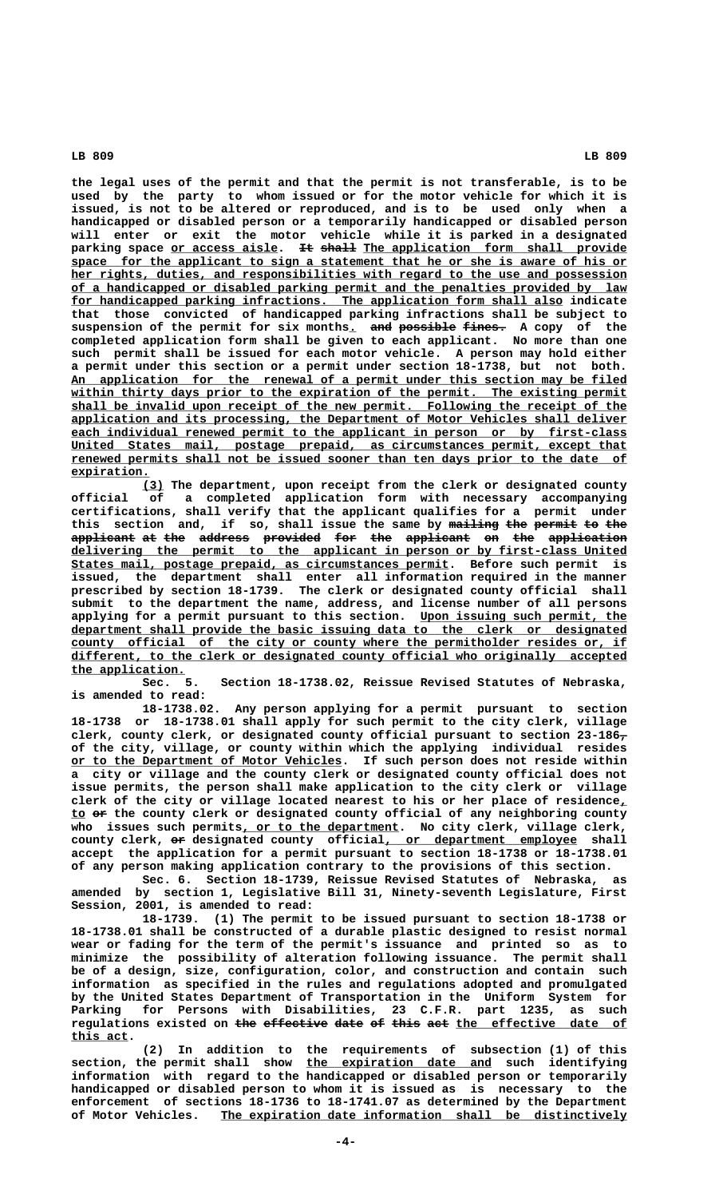**the legal uses of the permit and that the permit is not transferable, is to be used by the party to whom issued or for the motor vehicle for which it is issued, is not to be altered or reproduced, and is to be used only when a handicapped or disabled person or a temporarily handicapped or disabled person will enter or exit the motor vehicle while it is parked in a designated** parking space <u>or access aisle</u>. It shall The application form shall provide  **\_\_\_\_\_\_\_\_\_\_\_\_\_\_\_\_\_\_\_\_\_\_\_\_\_\_\_\_\_\_\_\_\_\_\_\_\_\_\_\_\_\_\_\_\_\_\_\_\_\_\_\_\_\_\_\_\_\_\_\_\_\_\_\_\_\_\_\_\_\_\_\_\_\_\_\_\_\_ space for the applicant to sign a statement that he or she is aware of his or \_\_\_\_\_\_\_\_\_\_\_\_\_\_\_\_\_\_\_\_\_\_\_\_\_\_\_\_\_\_\_\_\_\_\_\_\_\_\_\_\_\_\_\_\_\_\_\_\_\_\_\_\_\_\_\_\_\_\_\_\_\_\_\_\_\_\_\_\_\_\_\_\_\_\_\_\_\_ her rights, duties, and responsibilities with regard to the use and possession \_\_\_\_\_\_\_\_\_\_\_\_\_\_\_\_\_\_\_\_\_\_\_\_\_\_\_\_\_\_\_\_\_\_\_\_\_\_\_\_\_\_\_\_\_\_\_\_\_\_\_\_\_\_\_\_\_\_\_\_\_\_\_\_\_\_\_\_\_\_\_\_\_\_\_\_\_\_ of a handicapped or disabled parking permit and the penalties provided by law \_\_\_\_\_\_\_\_\_\_\_\_\_\_\_\_\_\_\_\_\_\_\_\_\_\_\_\_\_\_\_\_\_\_\_\_\_\_\_\_\_\_\_\_\_\_\_\_\_\_\_\_\_\_\_\_\_\_\_\_\_\_\_\_\_\_\_\_\_ for handicapped parking infractions. The application form shall also indicate that those convicted of handicapped parking infractions shall be subject to** suspension of the permit for six months. and possible fines. A copy of the **completed application form shall be given to each applicant. No more than one such permit shall be issued for each motor vehicle. A person may hold either a permit under this section or a permit under section 18-1738, but not both. \_\_\_\_\_\_\_\_\_\_\_\_\_\_\_\_\_\_\_\_\_\_\_\_\_\_\_\_\_\_\_\_\_\_\_\_\_\_\_\_\_\_\_\_\_\_\_\_\_\_\_\_\_\_\_\_\_\_\_\_\_\_\_\_\_\_\_\_\_\_\_\_\_\_\_\_\_\_ An application for the renewal of a permit under this section may be filed** within thirty days prior to the expiration of the permit. The existing permit  **\_\_\_\_\_\_\_\_\_\_\_\_\_\_\_\_\_\_\_\_\_\_\_\_\_\_\_\_\_\_\_\_\_\_\_\_\_\_\_\_\_\_\_\_\_\_\_\_\_\_\_\_\_\_\_\_\_\_\_\_\_\_\_\_\_\_\_\_\_\_\_\_\_\_\_\_\_\_ shall be invalid upon receipt of the new permit. Following the receipt of the \_\_\_\_\_\_\_\_\_\_\_\_\_\_\_\_\_\_\_\_\_\_\_\_\_\_\_\_\_\_\_\_\_\_\_\_\_\_\_\_\_\_\_\_\_\_\_\_\_\_\_\_\_\_\_\_\_\_\_\_\_\_\_\_\_\_\_\_\_\_\_\_\_\_\_\_\_\_ application and its processing, the Department of Motor Vehicles shall deliver \_\_\_\_\_\_\_\_\_\_\_\_\_\_\_\_\_\_\_\_\_\_\_\_\_\_\_\_\_\_\_\_\_\_\_\_\_\_\_\_\_\_\_\_\_\_\_\_\_\_\_\_\_\_\_\_\_\_\_\_\_\_\_\_\_\_\_\_\_\_\_\_\_\_\_\_\_\_ each individual renewed permit to the applicant in person or by first-class \_\_\_\_\_\_\_\_\_\_\_\_\_\_\_\_\_\_\_\_\_\_\_\_\_\_\_\_\_\_\_\_\_\_\_\_\_\_\_\_\_\_\_\_\_\_\_\_\_\_\_\_\_\_\_\_\_\_\_\_\_\_\_\_\_\_\_\_\_\_\_\_\_\_\_\_\_\_ United States mail, postage prepaid, as circumstances permit, except that \_\_\_\_\_\_\_\_\_\_\_\_\_\_\_\_\_\_\_\_\_\_\_\_\_\_\_\_\_\_\_\_\_\_\_\_\_\_\_\_\_\_\_\_\_\_\_\_\_\_\_\_\_\_\_\_\_\_\_\_\_\_\_\_\_\_\_\_\_\_\_\_\_\_\_\_\_\_ renewed permits shall not be issued sooner than ten days prior to the date of expiration. \_\_\_\_\_\_\_\_\_\_\_**

 **\_\_\_ (3) The department, upon receipt from the clerk or designated county official of a completed application form with necessary accompanying certifications, shall verify that the applicant qualifies for a permit under** this section and, if so, shall issue the same by mailing the permit to the **applicant at the address provided for the applicant on the application ————————— —— ——— ——————— ———————— ——— ——— ————————— —— ——— ——————————— \_\_\_\_\_\_\_\_\_\_\_\_\_\_\_\_\_\_\_\_\_\_\_\_\_\_\_\_\_\_\_\_\_\_\_\_\_\_\_\_\_\_\_\_\_\_\_\_\_\_\_\_\_\_\_\_\_\_\_\_\_\_\_\_\_\_\_\_\_\_\_\_\_\_\_\_\_\_ delivering the permit to the applicant in person or by first-class United \_\_\_\_\_\_\_\_\_\_\_\_\_\_\_\_\_\_\_\_\_\_\_\_\_\_\_\_\_\_\_\_\_\_\_\_\_\_\_\_\_\_\_\_\_\_\_\_\_\_\_\_\_ States mail, postage prepaid, as circumstances permit. Before such permit is issued, the department shall enter all information required in the manner prescribed by section 18-1739. The clerk or designated county official shall submit to the department the name, address, and license number of all persons** applying for a permit pursuant to this section. Upon issuing such permit, the  **\_\_\_\_\_\_\_\_\_\_\_\_\_\_\_\_\_\_\_\_\_\_\_\_\_\_\_\_\_\_\_\_\_\_\_\_\_\_\_\_\_\_\_\_\_\_\_\_\_\_\_\_\_\_\_\_\_\_\_\_\_\_\_\_\_\_\_\_\_\_\_\_\_\_\_\_\_\_ department shall provide the basic issuing data to the clerk or designated** county official of the city or county where the permitholder resides or, if  **\_\_\_\_\_\_\_\_\_\_\_\_\_\_\_\_\_\_\_\_\_\_\_\_\_\_\_\_\_\_\_\_\_\_\_\_\_\_\_\_\_\_\_\_\_\_\_\_\_\_\_\_\_\_\_\_\_\_\_\_\_\_\_\_\_\_\_\_\_\_\_\_\_\_\_\_\_\_ different, to the clerk or designated county official who originally accepted** the application.<br>Sec. 5.

Section 18-1738.02, Reissue Revised Statutes of Nebraska, **is amended to read:**

**18-1738.02. Any person applying for a permit pursuant to section 18-1738 or 18-1738.01 shall apply for such permit to the city clerk, village clerk, county clerk, or designated county official pursuant to section 23-186, of the city, village, or county within which the applying individual resides \_\_\_\_\_\_\_\_\_\_\_\_\_\_\_\_\_\_\_\_\_\_\_\_\_\_\_\_\_\_\_\_\_\_\_\_\_\_ or to the Department of Motor Vehicles. If such person does not reside within a city or village and the county clerk or designated county official does not issue permits, the person shall make application to the city clerk or village clerk of the city or village located nearest to his or her place of residence,\_ \_\_ —— to or the county clerk or designated county official of any neighboring county \_\_\_\_\_\_\_\_\_\_\_\_\_\_\_\_\_\_\_\_\_\_ who issues such permits, or to the department. No city clerk, village clerk,** county clerk,  $e$  designated county official, or department employee shall **accept the application for a permit pursuant to section 18-1738 or 18-1738.01 of any person making application contrary to the provisions of this section.**

**Sec. 6. Section 18-1739, Reissue Revised Statutes of Nebraska, as amended by section 1, Legislative Bill 31, Ninety-seventh Legislature, First Session, 2001, is amended to read:**

**18-1739. (1) The permit to be issued pursuant to section 18-1738 or 18-1738.01 shall be constructed of a durable plastic designed to resist normal wear or fading for the term of the permit's issuance and printed so as to minimize the possibility of alteration following issuance. The permit shall be of a design, size, configuration, color, and construction and contain such information as specified in the rules and regulations adopted and promulgated by the United States Department of Transportation in the Uniform System for Parking for Persons with Disabilities, 23 C.F.R. part 1235, as such** regulations existed on <del>the effective date of this act</del> the effective date of  **this act. \_\_\_\_\_\_\_\_**

**(2) In addition to the requirements of subsection (1) of this \_\_\_\_\_\_\_\_\_\_\_\_\_\_\_\_\_\_\_\_\_\_\_\_\_\_ section, the permit shall show the expiration date and such identifying information with regard to the handicapped or disabled person or temporarily handicapped or disabled person to whom it is issued as is necessary to the enforcement of sections 18-1736 to 18-1741.07 as determined by the Department \_\_\_\_\_\_\_\_\_\_\_\_\_\_\_\_\_\_\_\_\_\_\_\_\_\_\_\_\_\_\_\_\_\_\_\_\_\_\_\_\_\_\_\_\_\_\_\_\_\_\_\_\_\_\_\_\_ of Motor Vehicles. The expiration date information shall be distinctively**

 **-4-**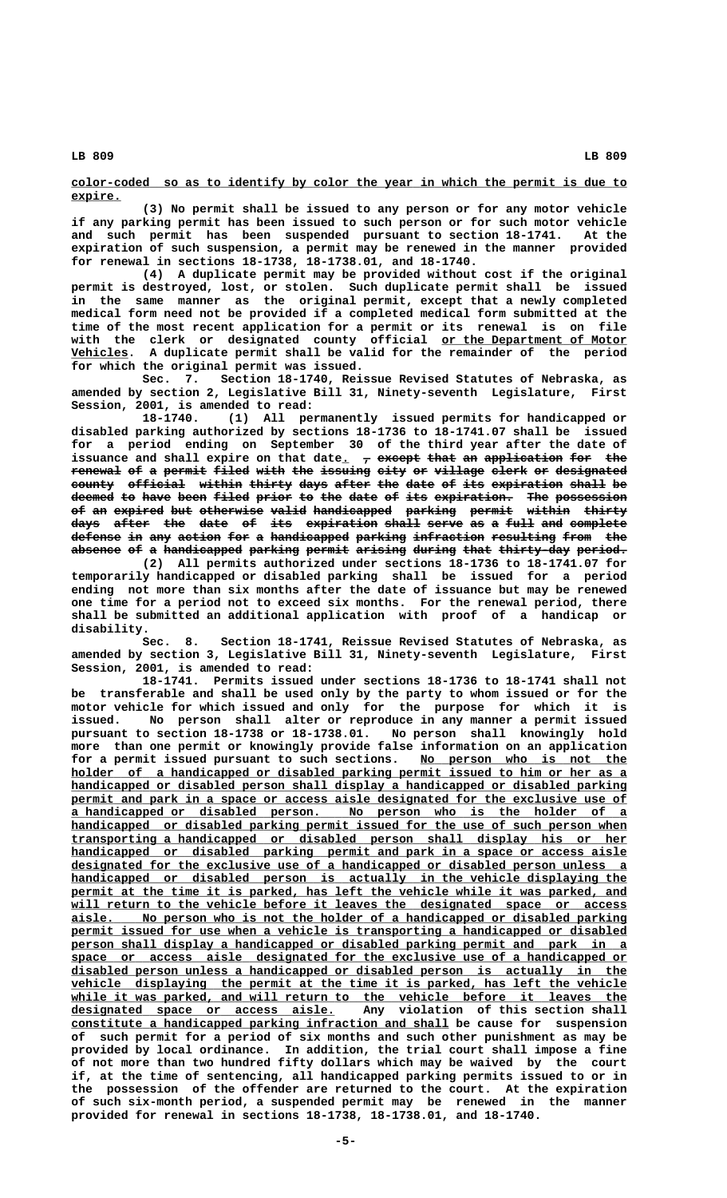**\_\_\_\_\_\_\_\_\_\_\_\_\_\_\_\_\_\_\_\_\_\_\_\_\_\_\_\_\_\_\_\_\_\_\_\_\_\_\_\_\_\_\_\_\_\_\_\_\_\_\_\_\_\_\_\_\_\_\_\_\_\_\_\_\_\_\_\_\_\_\_\_\_\_\_\_\_\_ color-coded so as to identify by color the year in which the permit is due to expire. \_\_\_\_\_\_\_**

**(3) No permit shall be issued to any person or for any motor vehicle if any parking permit has been issued to such person or for such motor vehicle and such permit has been suspended pursuant to section 18-1741. At the expiration of such suspension, a permit may be renewed in the manner provided for renewal in sections 18-1738, 18-1738.01, and 18-1740.**

**(4) A duplicate permit may be provided without cost if the original permit is destroyed, lost, or stolen. Such duplicate permit shall be issued in the same manner as the original permit, except that a newly completed medical form need not be provided if a completed medical form submitted at the time of the most recent application for a permit or its renewal is on file** with the clerk or designated county official <u>or the Department of Motor</u>  **\_\_\_\_\_\_\_\_ Vehicles. A duplicate permit shall be valid for the remainder of the period for which the original permit was issued.**

**Sec. 7. Section 18-1740, Reissue Revised Statutes of Nebraska, as amended by section 2, Legislative Bill 31, Ninety-seventh Legislature, First Session, 2001, is amended to read:**

**18-1740. (1) All permanently issued permits for handicapped or disabled parking authorized by sections 18-1736 to 18-1741.07 shall be issued for a period ending on September 30 of the third year after the date of** issuance and shall expire on that date<sub>1</sub>  $\tau$  except that an application for the renewal of a permit filed with the issuing eity or village elerk or designated **county official within thirty days after the date of its expiration shall be —————— ———————— —————— —————— ———— ————— ——— ———— —— ——— —————————— ————— ——**  $\overline{{\rm{deemed}}}$  to have been filed prior to the date of its expiration. The possession of an expired but otherwise valid handicapped parking permit within thirty **days after the date of its expiration shall serve as a full and complete ———— ————— ——— ———— —— ——— —————————— ————— ————— —— — ———— ——— ———————** defense in any action for a handicapped parking infraction resulting from the absence of a handicapped parking permit arising during that thirty-day period.

**(2) All permits authorized under sections 18-1736 to 18-1741.07 for temporarily handicapped or disabled parking shall be issued for a period ending not more than six months after the date of issuance but may be renewed one time for a period not to exceed six months. For the renewal period, there shall be submitted an additional application with proof of a handicap or disability.**

**Sec. 8. Section 18-1741, Reissue Revised Statutes of Nebraska, as amended by section 3, Legislative Bill 31, Ninety-seventh Legislature, First Session, 2001, is amended to read:**

**18-1741. Permits issued under sections 18-1736 to 18-1741 shall not be transferable and shall be used only by the party to whom issued or for the motor vehicle for which issued and only for the purpose for which it is issued. No person shall alter or reproduce in any manner a permit issued pursuant to section 18-1738 or 18-1738.01. No person shall knowingly hold more than one permit or knowingly provide false information on an application** for a permit issued pursuant to such sections. No person who is not the  **\_\_\_\_\_\_\_\_\_\_\_\_\_\_\_\_\_\_\_\_\_\_\_\_\_\_\_\_\_\_\_\_\_\_\_\_\_\_\_\_\_\_\_\_\_\_\_\_\_\_\_\_\_\_\_\_\_\_\_\_\_\_\_\_\_\_\_\_\_\_\_\_\_\_\_\_\_\_ holder of a handicapped or disabled parking permit issued to him or her as a \_\_\_\_\_\_\_\_\_\_\_\_\_\_\_\_\_\_\_\_\_\_\_\_\_\_\_\_\_\_\_\_\_\_\_\_\_\_\_\_\_\_\_\_\_\_\_\_\_\_\_\_\_\_\_\_\_\_\_\_\_\_\_\_\_\_\_\_\_\_\_\_\_\_\_\_\_\_ handicapped or disabled person shall display a handicapped or disabled parking** permit and park in a space or access aisle designated for the exclusive use of  **\_\_\_\_\_\_\_\_\_\_\_\_\_\_\_\_\_\_\_\_\_\_\_\_\_\_\_\_\_\_\_\_\_\_\_\_\_\_\_\_\_\_\_\_\_\_\_\_\_\_\_\_\_\_\_\_\_\_\_\_\_\_\_\_\_\_\_\_\_\_\_\_\_\_\_\_\_\_ a handicapped or disabled person. No person who is the holder of a** handicapped or disabled parking permit issued for the use of such person when  **\_\_\_\_\_\_\_\_\_\_\_\_\_\_\_\_\_\_\_\_\_\_\_\_\_\_\_\_\_\_\_\_\_\_\_\_\_\_\_\_\_\_\_\_\_\_\_\_\_\_\_\_\_\_\_\_\_\_\_\_\_\_\_\_\_\_\_\_\_\_\_\_\_\_\_\_\_\_ transporting a handicapped or disabled person shall display his or her \_\_\_\_\_\_\_\_\_\_\_\_\_\_\_\_\_\_\_\_\_\_\_\_\_\_\_\_\_\_\_\_\_\_\_\_\_\_\_\_\_\_\_\_\_\_\_\_\_\_\_\_\_\_\_\_\_\_\_\_\_\_\_\_\_\_\_\_\_\_\_\_\_\_\_\_\_\_ handicapped or disabled parking permit and park in a space or access aisle \_\_\_\_\_\_\_\_\_\_\_\_\_\_\_\_\_\_\_\_\_\_\_\_\_\_\_\_\_\_\_\_\_\_\_\_\_\_\_\_\_\_\_\_\_\_\_\_\_\_\_\_\_\_\_\_\_\_\_\_\_\_\_\_\_\_\_\_\_\_\_\_\_\_\_\_\_\_ designated for the exclusive use of a handicapped or disabled person unless a \_\_\_\_\_\_\_\_\_\_\_\_\_\_\_\_\_\_\_\_\_\_\_\_\_\_\_\_\_\_\_\_\_\_\_\_\_\_\_\_\_\_\_\_\_\_\_\_\_\_\_\_\_\_\_\_\_\_\_\_\_\_\_\_\_\_\_\_\_\_\_\_\_\_\_\_\_\_ handicapped or disabled person is actually in the vehicle displaying the** permit at the time it is parked, has left the vehicle while it was parked, and  **\_\_\_\_\_\_\_\_\_\_\_\_\_\_\_\_\_\_\_\_\_\_\_\_\_\_\_\_\_\_\_\_\_\_\_\_\_\_\_\_\_\_\_\_\_\_\_\_\_\_\_\_\_\_\_\_\_\_\_\_\_\_\_\_\_\_\_\_\_\_\_\_\_\_\_\_\_\_ will return to the vehicle before it leaves the designated space or access \_\_\_\_\_\_\_\_\_\_\_\_\_\_\_\_\_\_\_\_\_\_\_\_\_\_\_\_\_\_\_\_\_\_\_\_\_\_\_\_\_\_\_\_\_\_\_\_\_\_\_\_\_\_\_\_\_\_\_\_\_\_\_\_\_\_\_\_\_\_\_\_\_\_\_\_\_\_ aisle. No person who is not the holder of a handicapped or disabled parking** permit issued for use when a vehicle is transporting a handicapped or disabled  **\_\_\_\_\_\_\_\_\_\_\_\_\_\_\_\_\_\_\_\_\_\_\_\_\_\_\_\_\_\_\_\_\_\_\_\_\_\_\_\_\_\_\_\_\_\_\_\_\_\_\_\_\_\_\_\_\_\_\_\_\_\_\_\_\_\_\_\_\_\_\_\_\_\_\_\_\_\_ person shall display a handicapped or disabled parking permit and park in a \_\_\_\_\_\_\_\_\_\_\_\_\_\_\_\_\_\_\_\_\_\_\_\_\_\_\_\_\_\_\_\_\_\_\_\_\_\_\_\_\_\_\_\_\_\_\_\_\_\_\_\_\_\_\_\_\_\_\_\_\_\_\_\_\_\_\_\_\_\_\_\_\_\_\_\_\_\_ space or access aisle designated for the exclusive use of a handicapped or \_\_\_\_\_\_\_\_\_\_\_\_\_\_\_\_\_\_\_\_\_\_\_\_\_\_\_\_\_\_\_\_\_\_\_\_\_\_\_\_\_\_\_\_\_\_\_\_\_\_\_\_\_\_\_\_\_\_\_\_\_\_\_\_\_\_\_\_\_\_\_\_\_\_\_\_\_\_ disabled person unless a handicapped or disabled person is actually in the** vehicle displaying the permit at the time it is parked, has left the vehicle <u>while it was parked, and will return to the vehicle before it leaves the designated space or access aisle.</u> Any violation of this section shall designated space or access aisle.  **\_\_\_\_\_\_\_\_\_\_\_\_\_\_\_\_\_\_\_\_\_\_\_\_\_\_\_\_\_\_\_\_\_\_\_\_\_\_\_\_\_\_\_\_\_\_\_\_\_\_\_\_\_ constitute a handicapped parking infraction and shall be cause for suspension of such permit for a period of six months and such other punishment as may be provided by local ordinance. In addition, the trial court shall impose a fine of not more than two hundred fifty dollars which may be waived by the court if, at the time of sentencing, all handicapped parking permits issued to or in the possession of the offender are returned to the court. At the expiration of such six-month period, a suspended permit may be renewed in the manner provided for renewal in sections 18-1738, 18-1738.01, and 18-1740.**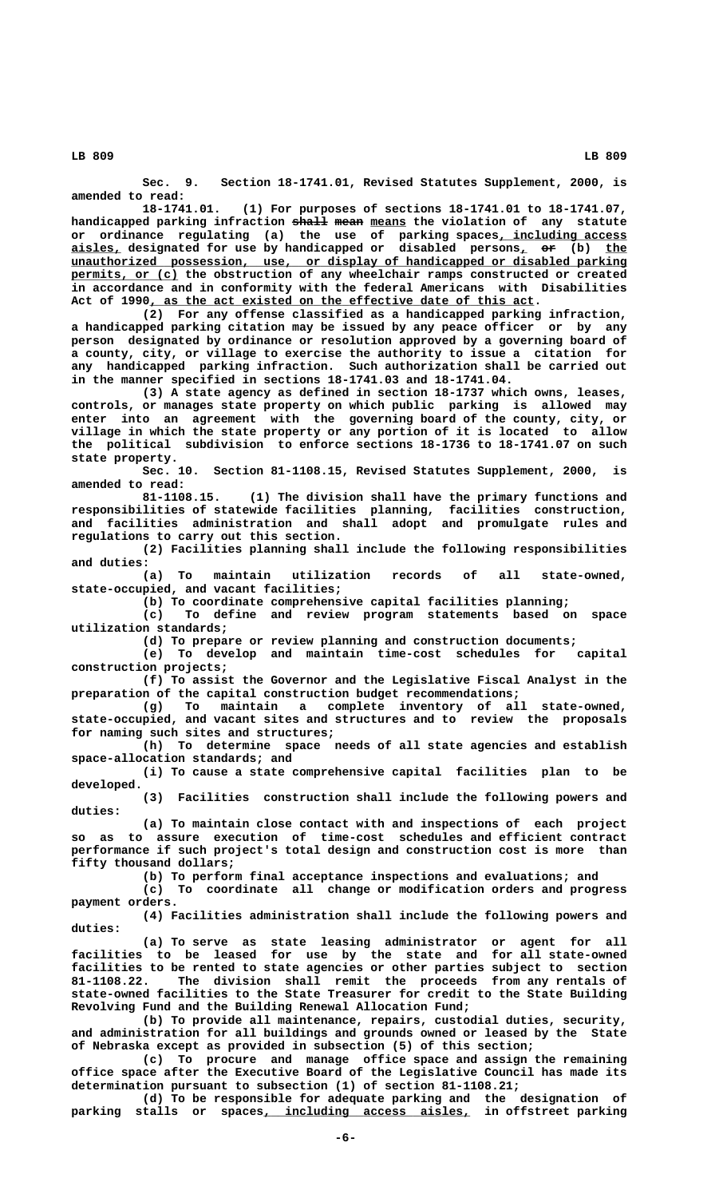**Sec. 9. Section 18-1741.01, Revised Statutes Supplement, 2000, is amended to read:**

**18-1741.01. (1) For purposes of sections 18-1741.01 to 18-1741.07,** handicapped parking infraction shall mean means the violation of any statute or ordinance regulating (a) the use of parking spaces<u>, including access</u>  $\frac{\texttt{aisles}}{\texttt{a}}$  designated for use by handicapped or disabled persons<u>,</u> <del>or</del> (b) <u>the</u>  **\_\_\_\_\_\_\_\_\_\_\_\_\_\_\_\_\_\_\_\_\_\_\_\_\_\_\_\_\_\_\_\_\_\_\_\_\_\_\_\_\_\_\_\_\_\_\_\_\_\_\_\_\_\_\_\_\_\_\_\_\_\_\_\_\_\_\_\_\_\_\_\_\_\_\_\_\_\_ unauthorized possession, use, or display of handicapped or disabled parking permits, or (c)** the obstruction of any wheelchair ramps constructed or created **in accordance and in conformity with the federal Americans with Disabilities** Act of 1990, as the act existed on the effective date of this act.

**(2) For any offense classified as a handicapped parking infraction, a handicapped parking citation may be issued by any peace officer or by any person designated by ordinance or resolution approved by a governing board of a county, city, or village to exercise the authority to issue a citation for any handicapped parking infraction. Such authorization shall be carried out in the manner specified in sections 18-1741.03 and 18-1741.04.**

**(3) A state agency as defined in section 18-1737 which owns, leases, controls, or manages state property on which public parking is allowed may enter into an agreement with the governing board of the county, city, or village in which the state property or any portion of it is located to allow the political subdivision to enforce sections 18-1736 to 18-1741.07 on such state property.**

**Sec. 10. Section 81-1108.15, Revised Statutes Supplement, 2000, is amended to read:**

**81-1108.15. (1) The division shall have the primary functions and responsibilities of statewide facilities planning, facilities construction, and facilities administration and shall adopt and promulgate rules and regulations to carry out this section.**

**(2) Facilities planning shall include the following responsibilities and duties:**

**(a) To maintain utilization records of all state-owned, state-occupied, and vacant facilities;**

**(b) To coordinate comprehensive capital facilities planning;**

**(c) To define and review program statements based on space utilization standards;**

**(d) To prepare or review planning and construction documents;**

**(e) To develop and maintain time-cost schedules for capital construction projects;**

**(f) To assist the Governor and the Legislative Fiscal Analyst in the preparation of the capital construction budget recommendations;**

**(g) To maintain a complete inventory of all state-owned, state-occupied, and vacant sites and structures and to review the proposals for naming such sites and structures;**

**(h) To determine space needs of all state agencies and establish space-allocation standards; and**

**(i) To cause a state comprehensive capital facilities plan to be developed.**

**(3) Facilities construction shall include the following powers and duties:**

**(a) To maintain close contact with and inspections of each project so as to assure execution of time-cost schedules and efficient contract performance if such project's total design and construction cost is more than fifty thousand dollars;**

**(b) To perform final acceptance inspections and evaluations; and**

**(c) To coordinate all change or modification orders and progress payment orders.**

**(4) Facilities administration shall include the following powers and duties:**

**(a) To serve as state leasing administrator or agent for all facilities to be leased for use by the state and for all state-owned facilities to be rented to state agencies or other parties subject to section 81-1108.22. The division shall remit the proceeds from any rentals of state-owned facilities to the State Treasurer for credit to the State Building Revolving Fund and the Building Renewal Allocation Fund;**

**(b) To provide all maintenance, repairs, custodial duties, security, and administration for all buildings and grounds owned or leased by the State of Nebraska except as provided in subsection (5) of this section;**

**(c) To procure and manage office space and assign the remaining office space after the Executive Board of the Legislative Council has made its determination pursuant to subsection (1) of section 81-1108.21;**

**(d) To be responsible for adequate parking and the designation of** parking stalls or spaces<u>, including access aisles,</u> in offstreet parking

 **LB 809 LB 809**